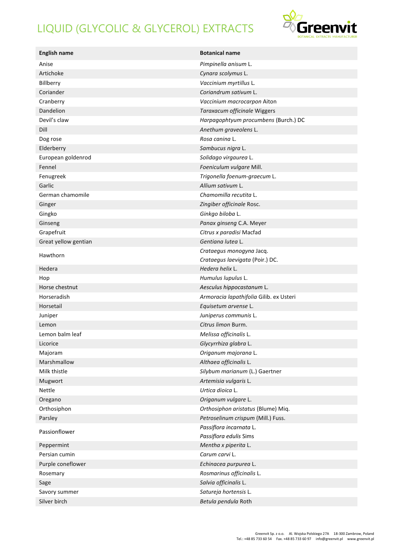## LIQUID (GLYCOLIC & GLYCEROL) EXTRACTS



| <b>English name</b>  | <b>Botanical name</b>                   |
|----------------------|-----------------------------------------|
| Anise                | Pimpinella anisum L.                    |
| Artichoke            | Cynara scolymus L.                      |
| Billberry            | Vaccinium myrtillus L.                  |
| Coriander            | Coriandrum sativum L.                   |
| Cranberry            | Vaccinium macrocarpon Aiton             |
| Dandelion            | Taraxacum officinale Wiggers            |
| Devil's claw         | Harpagophtyum procumbens (Burch.) DC    |
| Dill                 | Anethum graveolens L.                   |
| Dog rose             | Rosa canina L.                          |
| Elderberry           | Sambucus nigra L.                       |
| European goldenrod   | Solidago virgaurea L.                   |
| Fennel               | Foeniculum vulgare Mill.                |
| Fenugreek            | Trigonella foenum-graecum L.            |
| Garlic               | Allium sativum L.                       |
| German chamomile     | Chamomilla recutita L.                  |
| Ginger               | Zingiber officinale Rosc.               |
| Gingko               | Ginkgo biloba L.                        |
| Ginseng              | Panax ginseng C.A. Meyer                |
| Grapefruit           | Citrus x paradisi Macfad                |
| Great yellow gentian | Gentiana lutea L.                       |
|                      | Crataegus monogyna Jacq.                |
| Hawthorn             | Crataegus laevigata (Poir.) DC.         |
| Hedera               | Hedera helix L.                         |
| Hop                  | Humulus lupulus L.                      |
| Horse chestnut       | Aesculus hippocastanum L.               |
| Horseradish          | Armoracia lapathifolia Gilib. ex Usteri |
| Horsetail            | Equisetum arvense L.                    |
| Juniper              | Juniperus communis L.                   |
| Lemon                | Citrus limon Burm.                      |
| Lemon balm leaf      | Melissa officinalis L.                  |
| Licorice             | Glycyrrhiza glabra L.                   |
| Majoram              | Origanum majorana L.                    |
| Marshmallow          | Althaea officinalis L.                  |
| Milk thistle         | Silybum marianum (L.) Gaertner          |
| Mugwort              | Artemisia vulgaris L.                   |
| Nettle               | Urtica dioica L.                        |
| Oregano              | Origanum vulgare L.                     |
| Orthosiphon          | Orthosiphon aristatus (Blume) Miq.      |
| Parsley              | Petroselinum crispum (Mill.) Fuss.      |
|                      | Passiflora incarnata L.                 |
| Passionflower        | Passiflora edulis Sims                  |
| Peppermint           | Mentha x piperita L.                    |
| Persian cumin        | Carum carvi L.                          |
| Purple coneflower    | Echinacea purpurea L.                   |
| Rosemary             | Rosmarinus officinalis L.               |
| Sage                 | Salvia officinalis L.                   |
| Savory summer        | Satureja hortensis L.                   |
| Silver birch         | Betula pendula Roth                     |